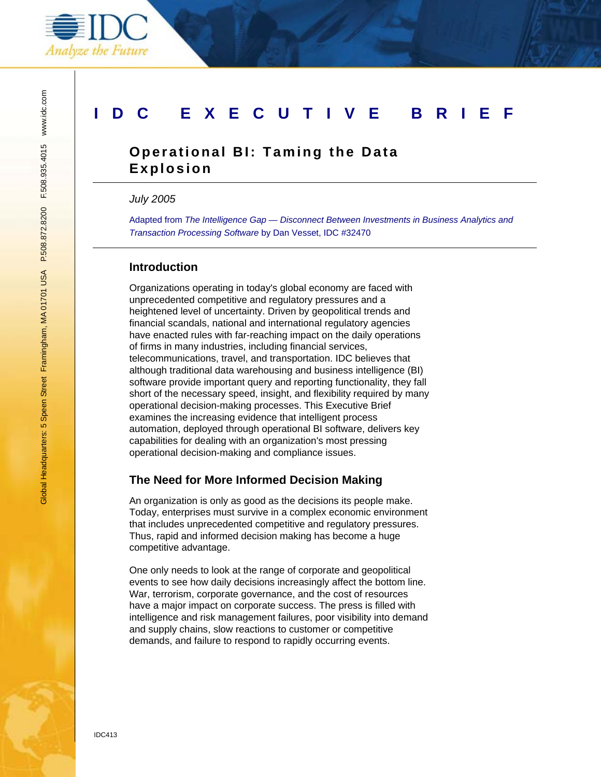

## **IDC EXECUTIVE BRIEF**

### **Operational BI: Taming the Data Explosion**

*July 2005* 

Adapted from *The Intelligence Gap — Disconnect Between Investments in Business Analytics and Transaction Processing Software* by Dan Vesset, IDC #32470

#### **Introduction**

Organizations operating in today's global economy are faced with unprecedented competitive and regulatory pressures and a heightened level of uncertainty. Driven by geopolitical trends and financial scandals, national and international regulatory agencies have enacted rules with far-reaching impact on the daily operations of firms in many industries, including financial services, telecommunications, travel, and transportation. IDC believes that although traditional data warehousing and business intelligence (BI) software provide important query and reporting functionality, they fall short of the necessary speed, insight, and flexibility required by many operational decision-making processes. This Executive Brief examines the increasing evidence that intelligent process automation, deployed through operational BI software, delivers key capabilities for dealing with an organization's most pressing operational decision-making and compliance issues.

#### **The Need for More Informed Decision Making**

An organization is only as good as the decisions its people make. Today, enterprises must survive in a complex economic environment that includes unprecedented competitive and regulatory pressures. Thus, rapid and informed decision making has become a huge competitive advantage.

One only needs to look at the range of corporate and geopolitical events to see how daily decisions increasingly affect the bottom line. War, terrorism, corporate governance, and the cost of resources have a major impact on corporate success. The press is filled with intelligence and risk management failures, poor visibility into demand and supply chains, slow reactions to customer or competitive demands, and failure to respond to rapidly occurring events.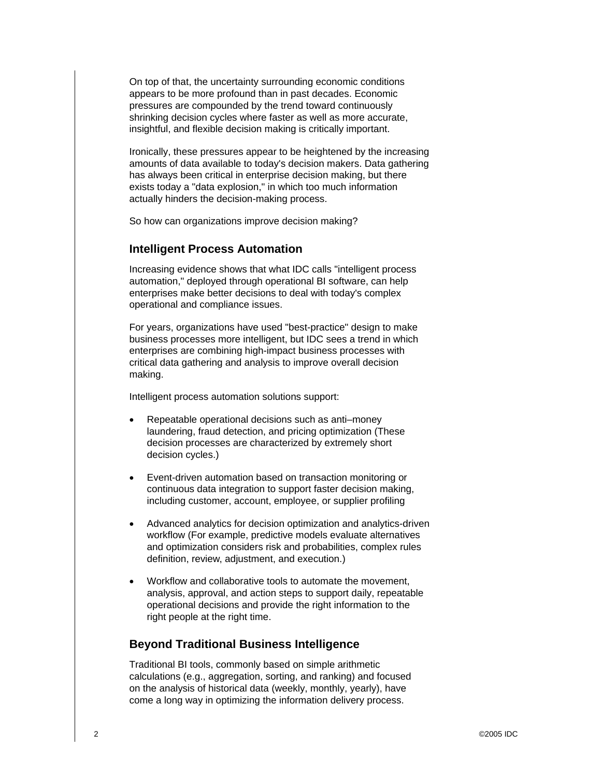On top of that, the uncertainty surrounding economic conditions appears to be more profound than in past decades. Economic pressures are compounded by the trend toward continuously shrinking decision cycles where faster as well as more accurate, insightful, and flexible decision making is critically important.

Ironically, these pressures appear to be heightened by the increasing amounts of data available to today's decision makers. Data gathering has always been critical in enterprise decision making, but there exists today a "data explosion," in which too much information actually hinders the decision-making process.

So how can organizations improve decision making?

#### **Intelligent Process Automation**

Increasing evidence shows that what IDC calls "intelligent process automation," deployed through operational BI software, can help enterprises make better decisions to deal with today's complex operational and compliance issues.

For years, organizations have used "best-practice" design to make business processes more intelligent, but IDC sees a trend in which enterprises are combining high-impact business processes with critical data gathering and analysis to improve overall decision making.

Intelligent process automation solutions support:

- Repeatable operational decisions such as anti–money laundering, fraud detection, and pricing optimization (These decision processes are characterized by extremely short decision cycles.)
- Event-driven automation based on transaction monitoring or continuous data integration to support faster decision making, including customer, account, employee, or supplier profiling
- Advanced analytics for decision optimization and analytics-driven workflow (For example, predictive models evaluate alternatives and optimization considers risk and probabilities, complex rules definition, review, adjustment, and execution.)
- Workflow and collaborative tools to automate the movement, analysis, approval, and action steps to support daily, repeatable operational decisions and provide the right information to the right people at the right time.

#### **Beyond Traditional Business Intelligence**

Traditional BI tools, commonly based on simple arithmetic calculations (e.g., aggregation, sorting, and ranking) and focused on the analysis of historical data (weekly, monthly, yearly), have come a long way in optimizing the information delivery process.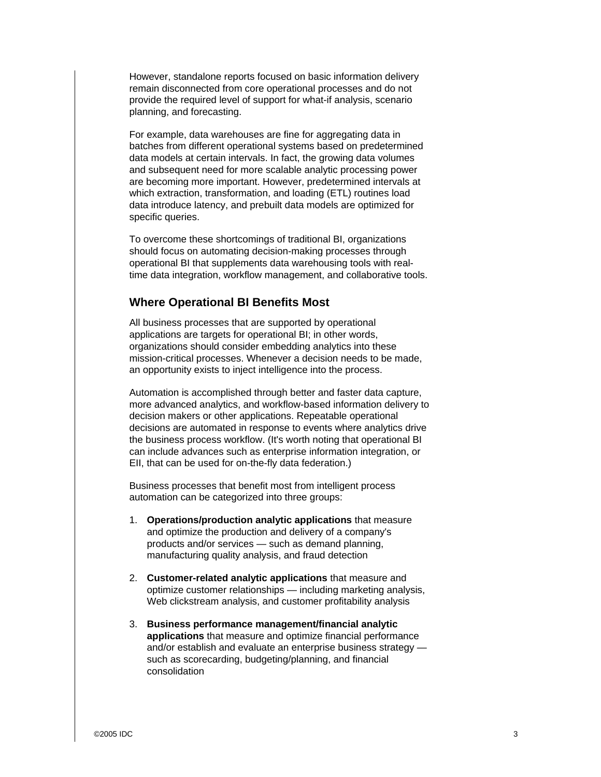However, standalone reports focused on basic information delivery remain disconnected from core operational processes and do not provide the required level of support for what-if analysis, scenario planning, and forecasting.

For example, data warehouses are fine for aggregating data in batches from different operational systems based on predetermined data models at certain intervals. In fact, the growing data volumes and subsequent need for more scalable analytic processing power are becoming more important. However, predetermined intervals at which extraction, transformation, and loading (ETL) routines load data introduce latency, and prebuilt data models are optimized for specific queries.

To overcome these shortcomings of traditional BI, organizations should focus on automating decision-making processes through operational BI that supplements data warehousing tools with realtime data integration, workflow management, and collaborative tools.

#### **Where Operational BI Benefits Most**

All business processes that are supported by operational applications are targets for operational BI; in other words, organizations should consider embedding analytics into these mission-critical processes. Whenever a decision needs to be made, an opportunity exists to inject intelligence into the process.

Automation is accomplished through better and faster data capture, more advanced analytics, and workflow-based information delivery to decision makers or other applications. Repeatable operational decisions are automated in response to events where analytics drive the business process workflow. (It's worth noting that operational BI can include advances such as enterprise information integration, or EII, that can be used for on-the-fly data federation.)

Business processes that benefit most from intelligent process automation can be categorized into three groups:

- 1. **Operations/production analytic applications** that measure and optimize the production and delivery of a company's products and/or services — such as demand planning, manufacturing quality analysis, and fraud detection
- 2. **Customer-related analytic applications** that measure and optimize customer relationships — including marketing analysis, Web clickstream analysis, and customer profitability analysis
- 3. **Business performance management/financial analytic applications** that measure and optimize financial performance and/or establish and evaluate an enterprise business strategy such as scorecarding, budgeting/planning, and financial consolidation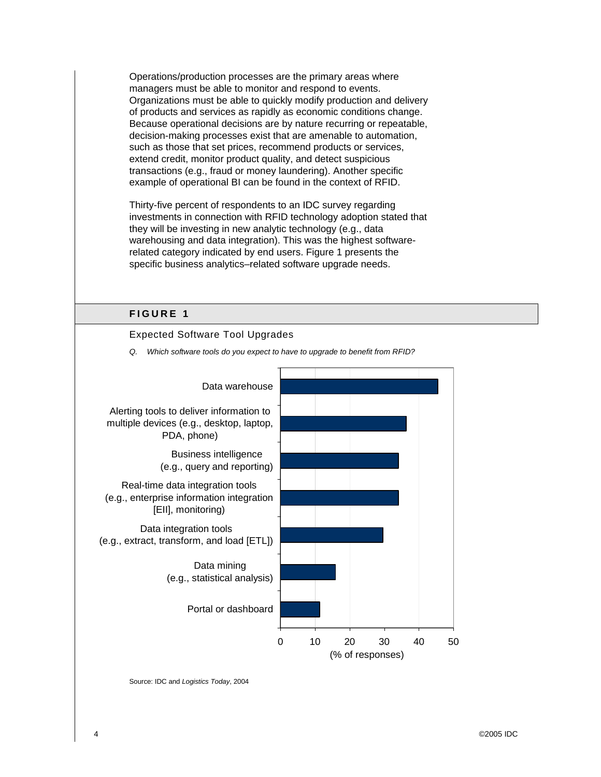Operations/production processes are the primary areas where managers must be able to monitor and respond to events. Organizations must be able to quickly modify production and delivery of products and services as rapidly as economic conditions change. Because operational decisions are by nature recurring or repeatable, decision-making processes exist that are amenable to automation, such as those that set prices, recommend products or services, extend credit, monitor product quality, and detect suspicious transactions (e.g., fraud or money laundering). Another specific example of operational BI can be found in the context of RFID.

Thirty-five percent of respondents to an IDC survey regarding investments in connection with RFID technology adoption stated that they will be investing in new analytic technology (e.g., data warehousing and data integration). This was the highest softwarerelated category indicated by end users. Figure 1 presents the specific business analytics–related software upgrade needs.

# Expected Software Tool Upgrades *Q. Which software tools do you expect to have to upgrade to benefit from RFID?*  0 10 20 30 40 50 Portal or dashboard Data mining (e.g., statistical analysis) Data integration tools (e.g., extract, transform, and load [ETL]) Real-time data integration tools (e.g., enterprise information integration [EII], monitoring) Business intelligence (e.g., query and reporting) Alerting tools to deliver information to multiple devices (e.g., desktop, laptop, PDA, phone) Data warehouse (% of responses)

### **FIGURE 1**

Source: IDC and *Logistics Today*, 2004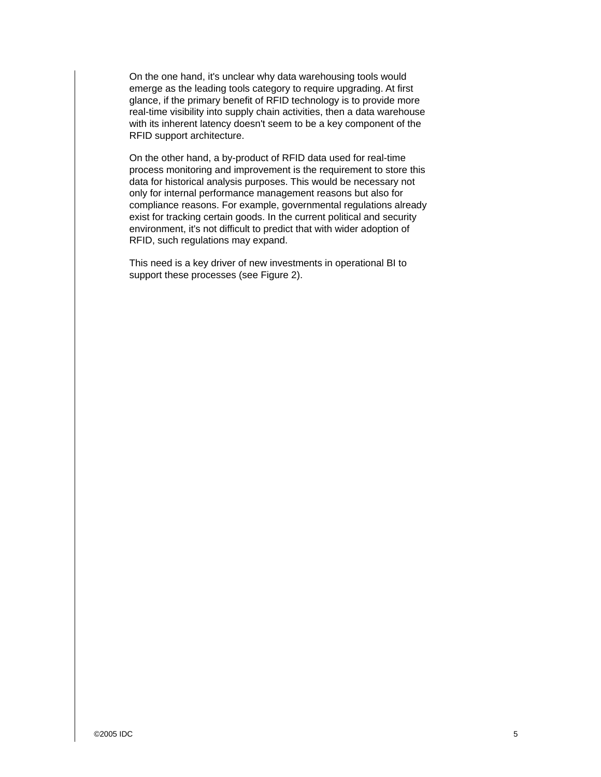On the one hand, it's unclear why data warehousing tools would emerge as the leading tools category to require upgrading. At first glance, if the primary benefit of RFID technology is to provide more real-time visibility into supply chain activities, then a data warehouse with its inherent latency doesn't seem to be a key component of the RFID support architecture.

On the other hand, a by-product of RFID data used for real-time process monitoring and improvement is the requirement to store this data for historical analysis purposes. This would be necessary not only for internal performance management reasons but also for compliance reasons. For example, governmental regulations already exist for tracking certain goods. In the current political and security environment, it's not difficult to predict that with wider adoption of RFID, such regulations may expand.

This need is a key driver of new investments in operational BI to support these processes (see Figure 2).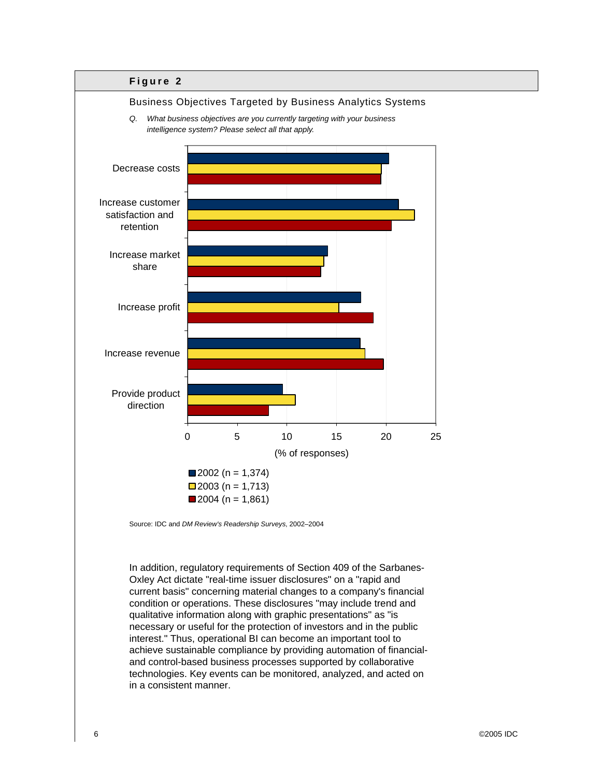

Source: IDC and *DM Review's Readership Surveys*, 2002–2004

In addition, regulatory requirements of Section 409 of the Sarbanes-Oxley Act dictate "real-time issuer disclosures" on a "rapid and current basis" concerning material changes to a company's financial condition or operations. These disclosures "may include trend and qualitative information along with graphic presentations" as "is necessary or useful for the protection of investors and in the public interest." Thus, operational BI can become an important tool to achieve sustainable compliance by providing automation of financialand control-based business processes supported by collaborative technologies. Key events can be monitored, analyzed, and acted on in a consistent manner.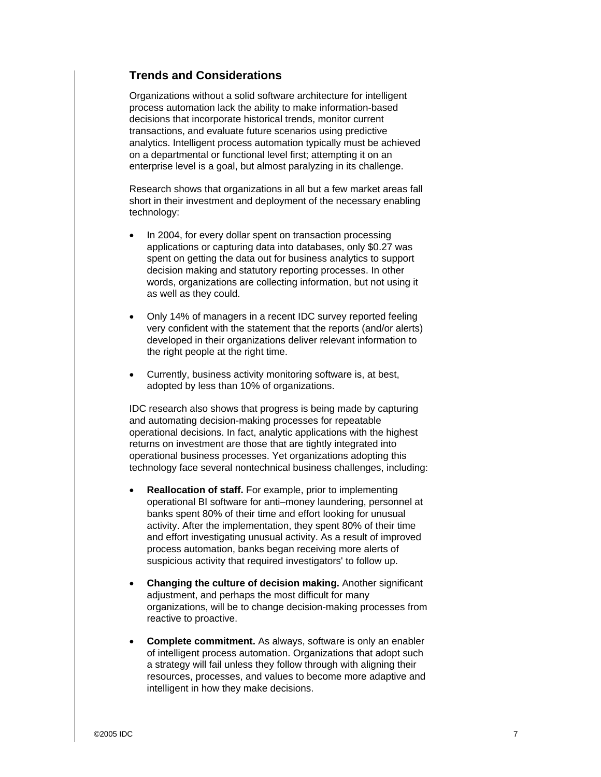### **Trends and Considerations**

Organizations without a solid software architecture for intelligent process automation lack the ability to make information-based decisions that incorporate historical trends, monitor current transactions, and evaluate future scenarios using predictive analytics. Intelligent process automation typically must be achieved on a departmental or functional level first; attempting it on an enterprise level is a goal, but almost paralyzing in its challenge.

Research shows that organizations in all but a few market areas fall short in their investment and deployment of the necessary enabling technology:

- In 2004, for every dollar spent on transaction processing applications or capturing data into databases, only \$0.27 was spent on getting the data out for business analytics to support decision making and statutory reporting processes. In other words, organizations are collecting information, but not using it as well as they could.
- Only 14% of managers in a recent IDC survey reported feeling very confident with the statement that the reports (and/or alerts) developed in their organizations deliver relevant information to the right people at the right time.
- Currently, business activity monitoring software is, at best, adopted by less than 10% of organizations.

IDC research also shows that progress is being made by capturing and automating decision-making processes for repeatable operational decisions. In fact, analytic applications with the highest returns on investment are those that are tightly integrated into operational business processes. Yet organizations adopting this technology face several nontechnical business challenges, including:

- **Reallocation of staff.** For example, prior to implementing operational BI software for anti–money laundering, personnel at banks spent 80% of their time and effort looking for unusual activity. After the implementation, they spent 80% of their time and effort investigating unusual activity. As a result of improved process automation, banks began receiving more alerts of suspicious activity that required investigators' to follow up.
- **Changing the culture of decision making.** Another significant adjustment, and perhaps the most difficult for many organizations, will be to change decision-making processes from reactive to proactive.
- **Complete commitment.** As always, software is only an enabler of intelligent process automation. Organizations that adopt such a strategy will fail unless they follow through with aligning their resources, processes, and values to become more adaptive and intelligent in how they make decisions.